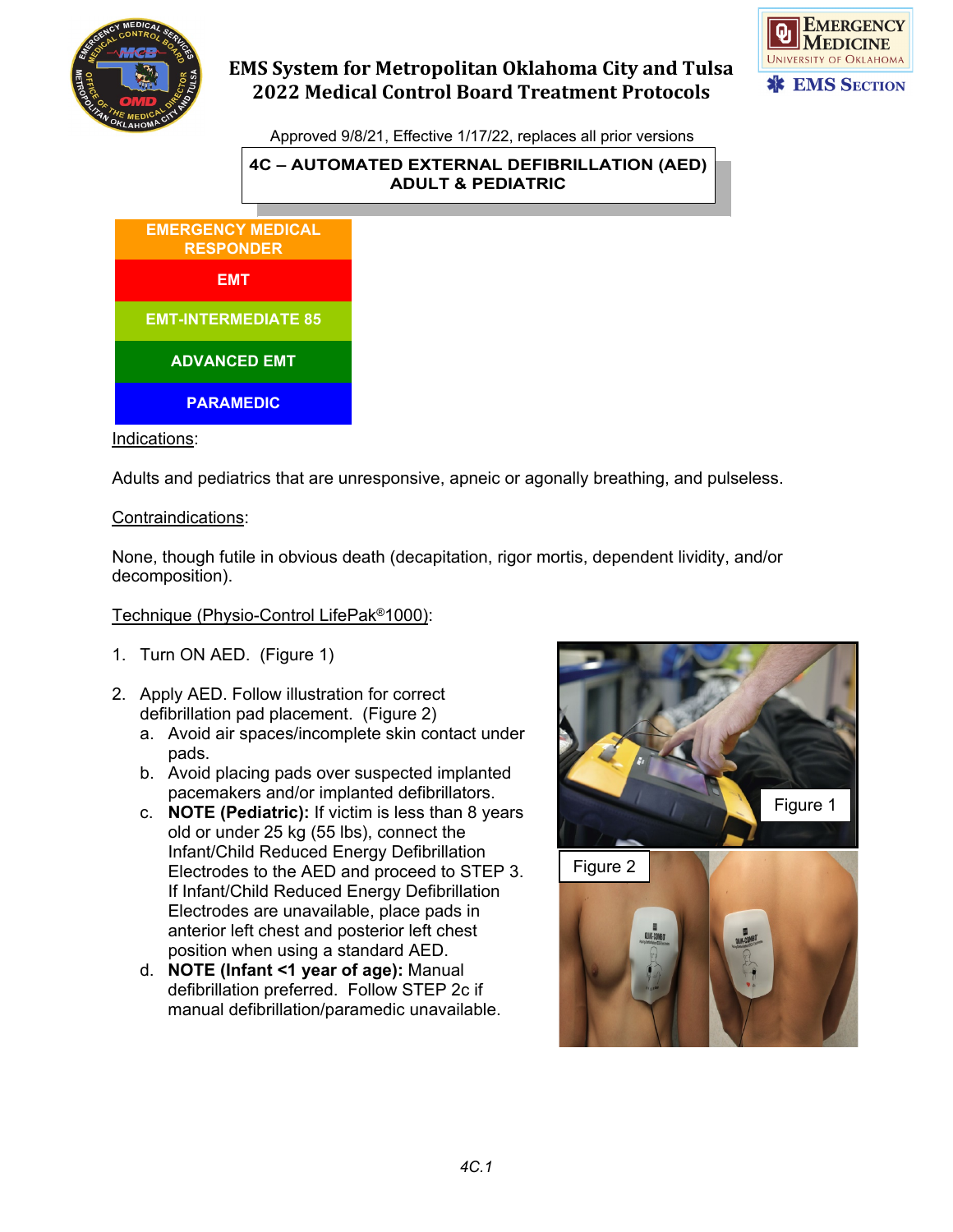

# **EMS System for Metropolitan Oklahoma City and Tulsa 2022 Medical Control Board Treatment Protocols**



Approved 9/8/21, Effective 1/17/22, replaces all prior versions

## **4C – AUTOMATED EXTERNAL DEFIBRILLATION (AED) ADULT & PEDIATRIC**



Indications:

Adults and pediatrics that are unresponsive, apneic or agonally breathing, and pulseless.

#### Contraindications:

None, though futile in obvious death (decapitation, rigor mortis, dependent lividity, and/or decomposition).

### Technique (Physio-Control LifePak®1000):

- 1. Turn ON AED. (Figure 1)
- 2. Apply AED. Follow illustration for correct defibrillation pad placement. (Figure 2)
	- a. Avoid air spaces/incomplete skin contact under pads.
	- b. Avoid placing pads over suspected implanted pacemakers and/or implanted defibrillators.
	- c. **NOTE (Pediatric):** If victim is less than 8 years old or under 25 kg (55 lbs), connect the Infant/Child Reduced Energy Defibrillation Electrodes to the AED and proceed to STEP 3. If Infant/Child Reduced Energy Defibrillation Electrodes are unavailable, place pads in anterior left chest and posterior left chest position when using a standard AED.
	- d. **NOTE (Infant <1 year of age):** Manual defibrillation preferred. Follow STEP 2c if manual defibrillation/paramedic unavailable.